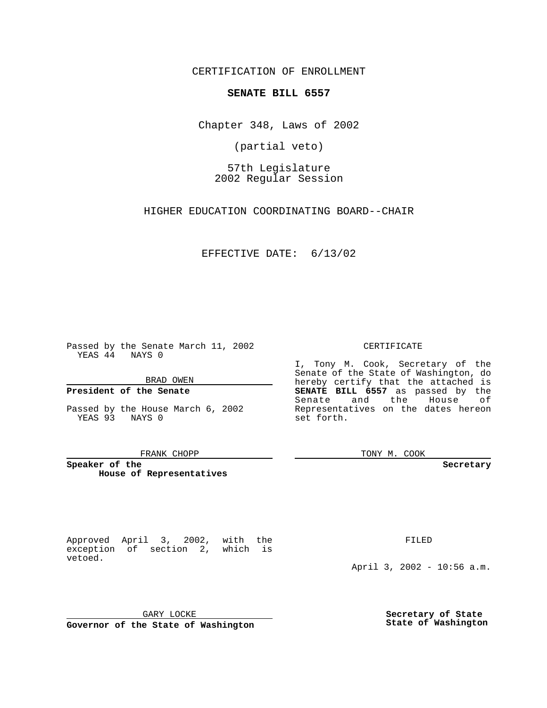CERTIFICATION OF ENROLLMENT

# **SENATE BILL 6557**

Chapter 348, Laws of 2002

(partial veto)

57th Legislature 2002 Regular Session

HIGHER EDUCATION COORDINATING BOARD--CHAIR

EFFECTIVE DATE: 6/13/02

Passed by the Senate March 11, 2002 YEAS 44 NAYS 0

BRAD OWEN

### **President of the Senate**

Passed by the House March 6, 2002 YEAS 93 NAYS 0

#### FRANK CHOPP

**Speaker of the House of Representatives**

Approved April 3, 2002, with the exception of section 2, which is vetoed.

FILED

April 3, 2002 - 10:56 a.m.

GARY LOCKE

**Governor of the State of Washington**

**Secretary of State State of Washington**

CERTIFICATE

I, Tony M. Cook, Secretary of the Senate of the State of Washington, do hereby certify that the attached is **SENATE BILL 6557** as passed by the Senate and the House of Representatives on the dates hereon set forth.

TONY M. COOK

**Secretary**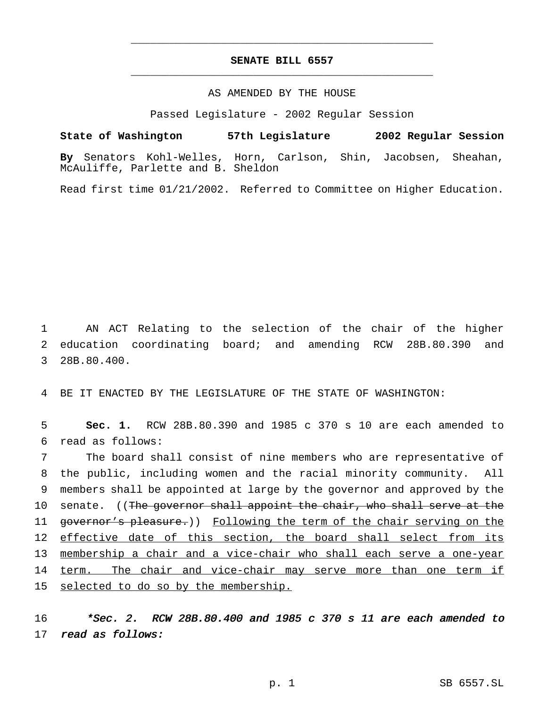# **SENATE BILL 6557** \_\_\_\_\_\_\_\_\_\_\_\_\_\_\_\_\_\_\_\_\_\_\_\_\_\_\_\_\_\_\_\_\_\_\_\_\_\_\_\_\_\_\_\_\_\_\_

\_\_\_\_\_\_\_\_\_\_\_\_\_\_\_\_\_\_\_\_\_\_\_\_\_\_\_\_\_\_\_\_\_\_\_\_\_\_\_\_\_\_\_\_\_\_\_

### AS AMENDED BY THE HOUSE

Passed Legislature - 2002 Regular Session

**State of Washington 57th Legislature 2002 Regular Session**

**By** Senators Kohl-Welles, Horn, Carlson, Shin, Jacobsen, Sheahan, McAuliffe, Parlette and B. Sheldon

Read first time 01/21/2002. Referred to Committee on Higher Education.

1 AN ACT Relating to the selection of the chair of the higher 2 education coordinating board; and amending RCW 28B.80.390 and 3 28B.80.400.

4 BE IT ENACTED BY THE LEGISLATURE OF THE STATE OF WASHINGTON:

5 **Sec. 1.** RCW 28B.80.390 and 1985 c 370 s 10 are each amended to 6 read as follows:

7 The board shall consist of nine members who are representative of 8 the public, including women and the racial minority community. All 9 members shall be appointed at large by the governor and approved by the 10 senate. ((The governor shall appoint the chair, who shall serve at the 11 governor's pleasure.)) Following the term of the chair serving on the 12 effective date of this section, the board shall select from its 13 membership a chair and a vice-chair who shall each serve a one-year 14 term. The chair and vice-chair may serve more than one term if 15 selected to do so by the membership.

16  $*Sec.$  2. RCW 28B.80.400 and 1985 c 370 s 11 are each amended to 17 read as follows: